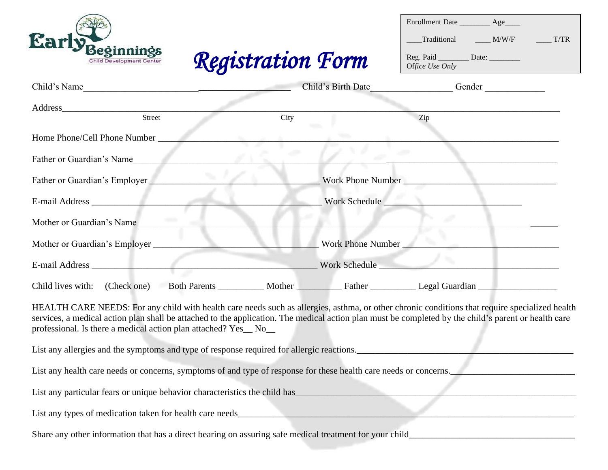| Beginnings<br><b>Registration Form</b><br>Child Development Center                                                                                                                                                                                                                                                                                                       |                    | Enrollment Date _________ Age_____<br>Traditional M/W/F ______ T/TR<br>Reg. Paid ____________ Date: __________<br>Office Use Only |  |  |  |
|--------------------------------------------------------------------------------------------------------------------------------------------------------------------------------------------------------------------------------------------------------------------------------------------------------------------------------------------------------------------------|--------------------|-----------------------------------------------------------------------------------------------------------------------------------|--|--|--|
| Child's Name<br>the contract of the contract of the contract of the contract of the contract of                                                                                                                                                                                                                                                                          | Child's Birth Date | Gender                                                                                                                            |  |  |  |
| Street                                                                                                                                                                                                                                                                                                                                                                   |                    | $\overline{z}$                                                                                                                    |  |  |  |
| City<br>Home Phone/Cell Phone Number                                                                                                                                                                                                                                                                                                                                     |                    |                                                                                                                                   |  |  |  |
| Father or Guardian's Name                                                                                                                                                                                                                                                                                                                                                |                    |                                                                                                                                   |  |  |  |
| Father or Guardian's Employer                                                                                                                                                                                                                                                                                                                                            | Work Phone Number  |                                                                                                                                   |  |  |  |
| E-mail Address and the state of the state of the state of the state of the state of the state of the state of the state of the state of the state of the state of the state of the state of the state of the state of the stat                                                                                                                                           | Work Schedule      |                                                                                                                                   |  |  |  |
| Mother or Guardian's Name                                                                                                                                                                                                                                                                                                                                                |                    |                                                                                                                                   |  |  |  |
| Mother or Guardian's Employer<br>- 10                                                                                                                                                                                                                                                                                                                                    |                    | Work Phone Number                                                                                                                 |  |  |  |
|                                                                                                                                                                                                                                                                                                                                                                          |                    | Vork Schedule                                                                                                                     |  |  |  |
| Child lives with: (Check one)                                                                                                                                                                                                                                                                                                                                            |                    | Both Parents ___________ Mother Father Father ___________ Legal Guardian ___________________________                              |  |  |  |
| HEALTH CARE NEEDS: For any child with health care needs such as allergies, asthma, or other chronic conditions that require specialized health<br>services, a medical action plan shall be attached to the application. The medical action plan must be completed by the child's parent or health care<br>professional. Is there a medical action plan attached? Yes_No_ |                    |                                                                                                                                   |  |  |  |
| List any allergies and the symptoms and type of response required for allergic reactions.                                                                                                                                                                                                                                                                                |                    |                                                                                                                                   |  |  |  |
| List any health care needs or concerns, symptoms of and type of response for these health care needs or concerns.                                                                                                                                                                                                                                                        |                    |                                                                                                                                   |  |  |  |
| List any particular fears or unique behavior characteristics the child has extended the state of the child has the child has the child has the child has the child has the child has the child has the child has the child has                                                                                                                                           |                    |                                                                                                                                   |  |  |  |
|                                                                                                                                                                                                                                                                                                                                                                          |                    |                                                                                                                                   |  |  |  |
|                                                                                                                                                                                                                                                                                                                                                                          |                    |                                                                                                                                   |  |  |  |